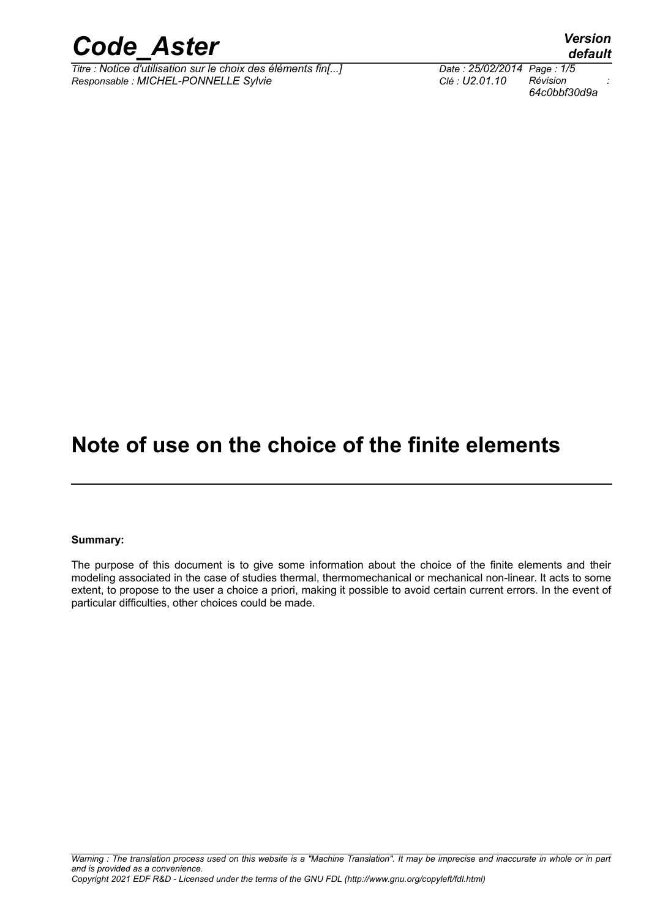

*Titre : Notice d'utilisation sur le choix des éléments fin[...] Date : 25/02/2014 Page : 1/5 Responsable : MICHEL-PONNELLE Sylvie Clé : U2.01.10 Révision :*

*64c0bbf30d9a*

## **Note of use on the choice of the finite elements**

#### **Summary:**

The purpose of this document is to give some information about the choice of the finite elements and their modeling associated in the case of studies thermal, thermomechanical or mechanical non-linear. It acts to some extent, to propose to the user a choice a priori, making it possible to avoid certain current errors. In the event of particular difficulties, other choices could be made.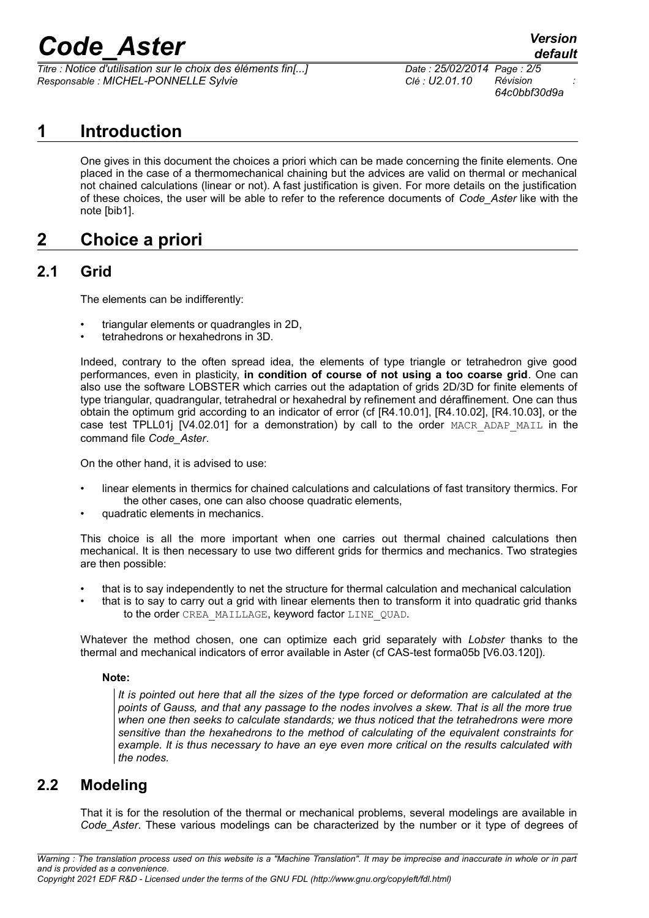*Titre : Notice d'utilisation sur le choix des éléments fin[...] Date : 25/02/2014 Page : 2/5 Responsable : MICHEL-PONNELLE Sylvie Clé : U2.01.10 Révision :*

*64c0bbf30d9a*

## **1 Introduction**

One gives in this document the choices a priori which can be made concerning the finite elements. One placed in the case of a thermomechanical chaining but the advices are valid on thermal or mechanical not chained calculations (linear or not). A fast justification is given. For more details on the justification of these choices, the user will be able to refer to the reference documents of *Code\_Aster* like with the note [bib1].

## **2 Choice a priori**

### **2.1 Grid**

The elements can be indifferently:

- triangular elements or quadrangles in 2D,
- tetrahedrons or hexahedrons in 3D.

Indeed, contrary to the often spread idea, the elements of type triangle or tetrahedron give good performances, even in plasticity, **in condition of course of not using a too coarse grid**. One can also use the software LOBSTER which carries out the adaptation of grids 2D/3D for finite elements of type triangular, quadrangular, tetrahedral or hexahedral by refinement and déraffinement. One can thus obtain the optimum grid according to an indicator of error (cf [R4.10.01], [R4.10.02], [R4.10.03], or the case test TPLL01*j*  $[VA.02.01]$  for a demonstration) by call to the order MACR ADAP MAIL in the command file *Code\_Aster*.

On the other hand, it is advised to use:

- linear elements in thermics for chained calculations and calculations of fast transitory thermics. For the other cases, one can also choose quadratic elements,
- quadratic elements in mechanics.

This choice is all the more important when one carries out thermal chained calculations then mechanical. It is then necessary to use two different grids for thermics and mechanics. Two strategies are then possible:

- that is to say independently to net the structure for thermal calculation and mechanical calculation
- that is to say to carry out a grid with linear elements then to transform it into quadratic grid thanks to the order CREA\_MAILLAGE, keyword factor LINE\_QUAD.

Whatever the method chosen, one can optimize each grid separately with *Lobster* thanks to the thermal and mechanical indicators of error available in Aster (cf CAS-test forma05b [V6.03.120]).

#### **Note:**

*It is pointed out here that all the sizes of the type forced or deformation are calculated at the points of Gauss, and that any passage to the nodes involves a skew. That is all the more true when one then seeks to calculate standards; we thus noticed that the tetrahedrons were more sensitive than the hexahedrons to the method of calculating of the equivalent constraints for example. It is thus necessary to have an eye even more critical on the results calculated with the nodes.*

### **2.2 Modeling**

That it is for the resolution of the thermal or mechanical problems, several modelings are available in *Code\_Aster*. These various modelings can be characterized by the number or it type of degrees of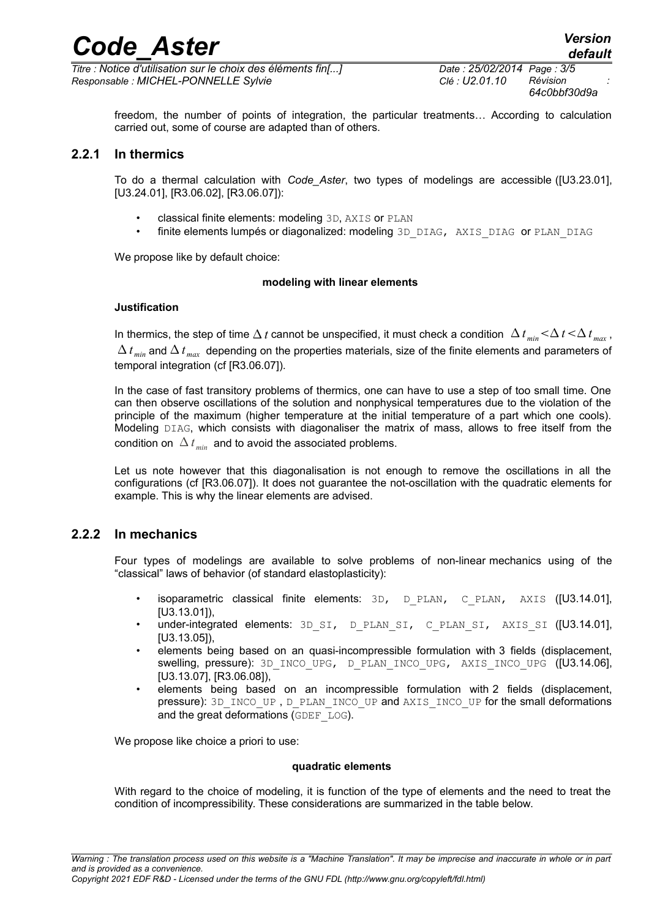*Titre : Notice d'utilisation sur le choix des éléments fin[...] Date : 25/02/2014 Page : 3/5 Responsable : MICHEL-PONNELLE Sylvie Clé : U2.01.10 Révision :*

*64c0bbf30d9a*

freedom, the number of points of integration, the particular treatments… According to calculation carried out, some of course are adapted than of others.

#### **2.2.1 In thermics**

To do a thermal calculation with *Code\_Aster*, two types of modelings are accessible ([U3.23.01], [U3.24.01], [R3.06.02], [R3.06.07]):

- classical finite elements: modeling 3D, AXIS or PLAN
- finite elements lumpés or diagonalized: modeling 3D\_DIAG, AXIS\_DIAG or PLAN\_DIAG

We propose like by default choice:

#### **modeling with linear elements**

#### **Justification**

In thermics, the step of time  $\Delta t$  cannot be unspecified, it must check a condition  $\Delta t_{min} < \Delta t < \Delta t_{max}$ ,  $\Delta t$ <sub>*min*</sub> and  $\Delta t$ <sub>*max*</sub> depending on the properties materials, size of the finite elements and parameters of temporal integration (cf [R3.06.07]).

In the case of fast transitory problems of thermics, one can have to use a step of too small time. One can then observe oscillations of the solution and nonphysical temperatures due to the violation of the principle of the maximum (higher temperature at the initial temperature of a part which one cools). Modeling DIAG, which consists with diagonaliser the matrix of mass, allows to free itself from the condition on  $\Delta t_{min}$  and to avoid the associated problems.

Let us note however that this diagonalisation is not enough to remove the oscillations in all the configurations (cf [R3.06.07]). It does not guarantee the not-oscillation with the quadratic elements for example. This is why the linear elements are advised.

#### **2.2.2 In mechanics**

Four types of modelings are available to solve problems of non-linear mechanics using of the "classical" laws of behavior (of standard elastoplasticity):

- isoparametric classical finite elements:  $3D$ ,  $D$  PLAN,  $C$  PLAN, AXIS ([U3.14.01], [U3.13.01]),
- under-integrated elements: 3D\_SI, D\_PLAN\_SI, C\_PLAN\_SI, AXIS\_SI ([U3.14.01], [U3.13.05]),
- elements being based on an quasi-incompressible formulation with 3 fields (displacement, swelling, pressure): 3D\_INCO\_UPG, D\_PLAN\_INCO\_UPG, AXIS\_INCO\_UPG ([U3.14.06], [U3.13.07], [R3.06.08]),
- elements being based on an incompressible formulation with 2 fields (displacement, pressure): 3D\_INCO\_UP, D\_PLAN\_INCO\_UP and AXIS\_INCO\_UP for the small deformations and the great deformations (GDEF LOG).

We propose like choice a priori to use:

#### **quadratic elements**

With regard to the choice of modeling, it is function of the type of elements and the need to treat the condition of incompressibility. These considerations are summarized in the table below.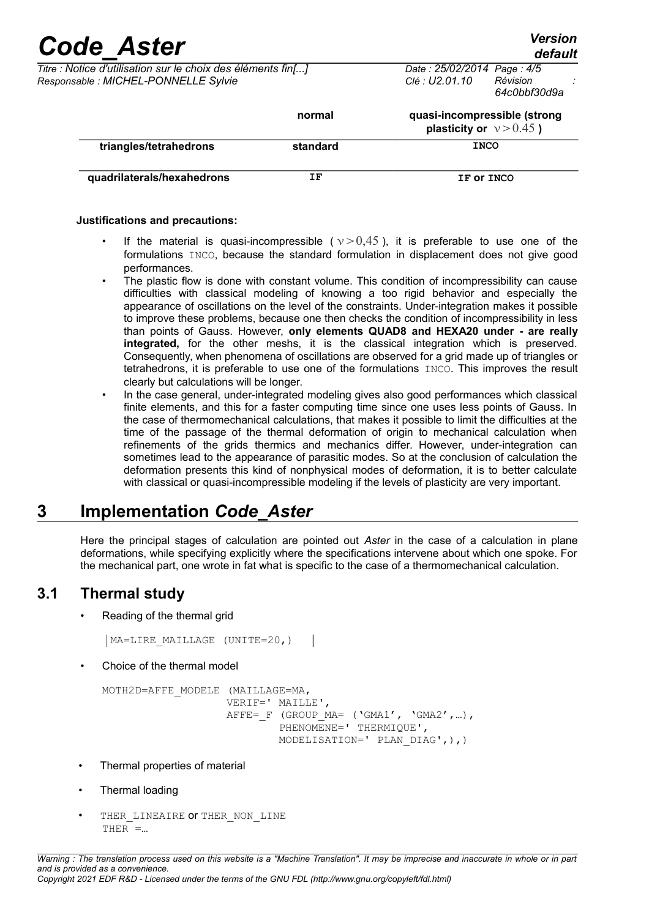*Titre : Notice d'utilisation sur le choix des éléments fin[...] Date : 25/02/2014 Page : 4/5 Responsable : MICHEL-PONNELLE Sylvie Clé : U2.01.10 Révision :*

| <b>E. MICHLL-FONNELLE SYIVIE</b> |          | <u>GE. UZ.UI. IU</u>                                       | ,,,,,,,,,,,<br>64c0bbf30d9a |  |
|----------------------------------|----------|------------------------------------------------------------|-----------------------------|--|
|                                  | normal   | quasi-incompressible (strong<br>plasticity or $v > 0.45$ ) |                             |  |
| triangles/tetrahedrons           | standard | <b>INCO</b>                                                |                             |  |
| quadrilaterals/hexahedrons       | ΙF       | IF OT INCO                                                 |                             |  |

#### **Justifications and precautions:**

- If the material is quasi-incompressible ( $v > 0.45$ ), it is preferable to use one of the formulations INCO, because the standard formulation in displacement does not give good performances.
- The plastic flow is done with constant volume. This condition of incompressibility can cause difficulties with classical modeling of knowing a too rigid behavior and especially the appearance of oscillations on the level of the constraints. Under-integration makes it possible to improve these problems, because one then checks the condition of incompressibility in less than points of Gauss. However, **only elements QUAD8 and HEXA20 under - are really integrated,** for the other meshs, it is the classical integration which is preserved. Consequently, when phenomena of oscillations are observed for a grid made up of triangles or tetrahedrons, it is preferable to use one of the formulations INCO. This improves the result clearly but calculations will be longer.
	- In the case general, under-integrated modeling gives also good performances which classical finite elements, and this for a faster computing time since one uses less points of Gauss. In the case of thermomechanical calculations, that makes it possible to limit the difficulties at the time of the passage of the thermal deformation of origin to mechanical calculation when refinements of the grids thermics and mechanics differ. However, under-integration can sometimes lead to the appearance of parasitic modes. So at the conclusion of calculation the deformation presents this kind of nonphysical modes of deformation, it is to better calculate with classical or quasi-incompressible modeling if the levels of plasticity are very important.

## **3 Implementation** *Code\_Aster*

Here the principal stages of calculation are pointed out *Aster* in the case of a calculation in plane deformations, while specifying explicitly where the specifications intervene about which one spoke. For the mechanical part, one wrote in fat what is specific to the case of a thermomechanical calculation.

### **3.1 Thermal study**

• Reading of the thermal grid

```
MA=LIRE_MAILLAGE (UNITE=20,)
```
• Choice of the thermal model

```
MOTH2D=AFFE_MODELE (MAILLAGE=MA,
         VERIF=' MAILLE',
        AFFE= F (GROUP MA= ('GMA1', 'GMA2',...),
                PHENOMENE=' THERMIQUE',
                 MODELISATION=' PLAN_DIAG',),)
```
- Thermal properties of material
- Thermal loading
- THER LINEAIRE OF THER NON LINE THER =…